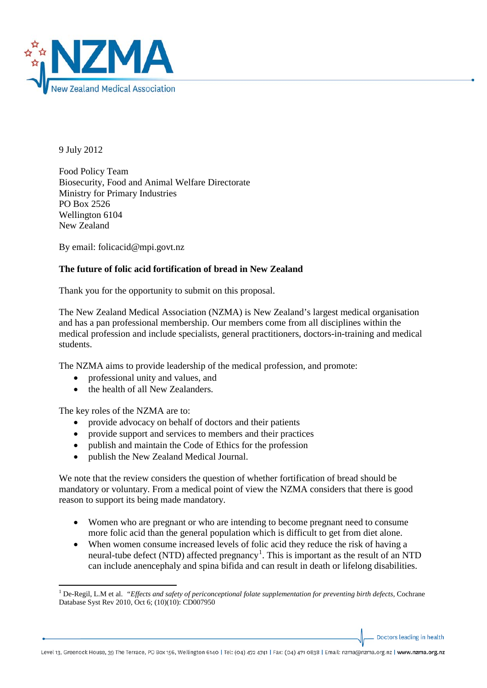

9 July 2012

Food Policy Team Biosecurity, Food and Animal Welfare Directorate Ministry for Primary Industries PO Box 2526 Wellington 6104 New Zealand

By email: folicacid@mpi.govt.nz

## **The future of folic acid fortification of bread in New Zealand**

Thank you for the opportunity to submit on this proposal.

The New Zealand Medical Association (NZMA) is New Zealand's largest medical organisation and has a pan professional membership. Our members come from all disciplines within the medical profession and include specialists, general practitioners, doctors-in-training and medical students.

The NZMA aims to provide leadership of the medical profession, and promote:

- professional unity and values, and
- the health of all New Zealanders.

The key roles of the NZMA are to:

 $\overline{a}$ 

- provide advocacy on behalf of doctors and their patients
- provide support and services to members and their practices
- publish and maintain the Code of Ethics for the profession
- publish the New Zealand Medical Journal.

We note that the review considers the question of whether fortification of bread should be mandatory or voluntary. From a medical point of view the NZMA considers that there is good reason to support its being made mandatory.

- Women who are pregnant or who are intending to become pregnant need to consume more folic acid than the general population which is difficult to get from diet alone.
- When women consume increased levels of folic acid they reduce the risk of having a neural-tube defect (NTD) affected pregnancy<sup>[1](#page-0-0)</sup>. This is important as the result of an NTD can include anencephaly and spina bifida and can result in death or lifelong disabilities.

Doctors leading in health

<span id="page-0-0"></span><sup>&</sup>lt;sup>1</sup> De-Regil, L.M et al. *"Effects and safety of periconceptional folate supplementation for preventing birth defects, Cochrane* Database Syst Rev 2010, Oct 6; (10)(10): CD007950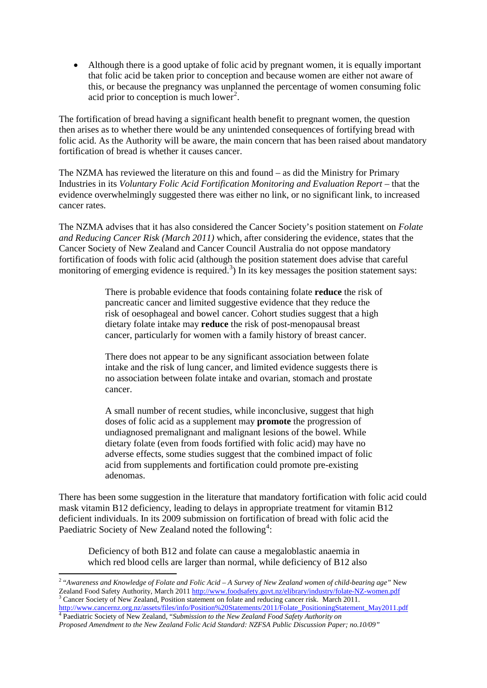• Although there is a good uptake of folic acid by pregnant women, it is equally important that folic acid be taken prior to conception and because women are either not aware of this, or because the pregnancy was unplanned the percentage of women consuming folic acid prior to conception is much lower<sup>[2](#page-1-0)</sup>.

The fortification of bread having a significant health benefit to pregnant women, the question then arises as to whether there would be any unintended consequences of fortifying bread with folic acid. As the Authority will be aware, the main concern that has been raised about mandatory fortification of bread is whether it causes cancer.

The NZMA has reviewed the literature on this and found – as did the Ministry for Primary Industries in its *Voluntary Folic Acid Fortification Monitoring and Evaluation Report* – that the evidence overwhelmingly suggested there was either no link, or no significant link, to increased cancer rates.

The NZMA advises that it has also considered the Cancer Society's position statement on *Folate and Reducing Cancer Risk (March 2011)* which, after considering the evidence, states that the Cancer Society of New Zealand and Cancer Council Australia do not oppose mandatory fortification of foods with folic acid (although the position statement does advise that careful monitoring of emerging evidence is required.<sup>[3](#page-1-1)</sup>) In its key messages the position statement says:

> There is probable evidence that foods containing folate **reduce** the risk of pancreatic cancer and limited suggestive evidence that they reduce the risk of oesophageal and bowel cancer. Cohort studies suggest that a high dietary folate intake may **reduce** the risk of post-menopausal breast cancer, particularly for women with a family history of breast cancer.

There does not appear to be any significant association between folate intake and the risk of lung cancer, and limited evidence suggests there is no association between folate intake and ovarian, stomach and prostate cancer.

A small number of recent studies, while inconclusive, suggest that high doses of folic acid as a supplement may **promote** the progression of undiagnosed premalignant and malignant lesions of the bowel. While dietary folate (even from foods fortified with folic acid) may have no adverse effects, some studies suggest that the combined impact of folic acid from supplements and fortification could promote pre-existing adenomas.

There has been some suggestion in the literature that mandatory fortification with folic acid could mask vitamin B12 deficiency, leading to delays in appropriate treatment for vitamin B12 deficient individuals. In its 2009 submission on fortification of bread with folic acid the Paediatric Society of New Zealand noted the following<sup>[4](#page-1-2)</sup>:

Deficiency of both B12 and folate can cause a megaloblastic anaemia in which red blood cells are larger than normal, while deficiency of B12 also

<span id="page-1-2"></span><span id="page-1-1"></span><sup>4</sup> Paediatric Society of New Zealand, "Submission to the New Zealand Food Safety Authority on

**.** 

<span id="page-1-0"></span><sup>2</sup> "*Awareness and Knowledge of Folate and Folic Acid – A Survey of New Zealand women of child-bearing age"* New Zealand Food Safety Authority, March 201[1 http://www.foodsafety.govt.nz/elibrary/industry/folate-NZ-women.pdf](http://www.foodsafety.govt.nz/elibrary/industry/folate-NZ-women.pdf)<br>
<sup>3</sup> Cancer Society of New Zealand, Position statement on folate and reducing cancer risk. March 2011.<br>
http://w

*Proposed Amendment to the New Zealand Folic Acid Standard: NZFSA Public Discussion Paper; no.10/09"*